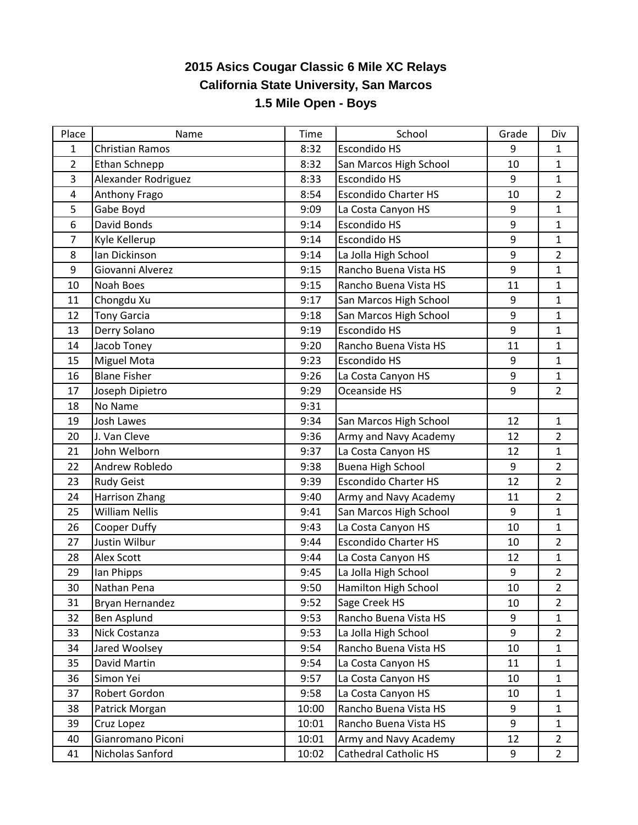## **2015 Asics Cougar Classic 6 Mile XC Relays California State University, San Marcos 1.5 Mile Open - Boys**

| Place | Name                   | <b>Time</b> | School                       | Grade | Div            |
|-------|------------------------|-------------|------------------------------|-------|----------------|
| 1     | <b>Christian Ramos</b> | 8:32        | <b>Escondido HS</b>          | 9     | $\mathbf{1}$   |
| 2     | Ethan Schnepp          | 8:32        | San Marcos High School       | 10    | $\mathbf{1}$   |
| 3     | Alexander Rodriguez    | 8:33        | <b>Escondido HS</b>          | 9     | $\mathbf{1}$   |
| 4     | Anthony Frago          | 8:54        | <b>Escondido Charter HS</b>  | 10    | $\overline{2}$ |
| 5     | Gabe Boyd              | 9:09        | La Costa Canyon HS           | 9     | $\mathbf{1}$   |
| 6     | David Bonds            | 9:14        | <b>Escondido HS</b>          | 9     | $\mathbf{1}$   |
| 7     | Kyle Kellerup          | 9:14        | <b>Escondido HS</b>          | 9     | $\mathbf{1}$   |
| 8     | Ian Dickinson          | 9:14        | La Jolla High School         | 9     | $\overline{2}$ |
| 9     | Giovanni Alverez       | 9:15        | Rancho Buena Vista HS        | 9     | $\mathbf{1}$   |
| 10    | Noah Boes              | 9:15        | Rancho Buena Vista HS        | 11    | $\mathbf{1}$   |
| 11    | Chongdu Xu             | 9:17        | San Marcos High School       | 9     | $\mathbf{1}$   |
| 12    | <b>Tony Garcia</b>     | 9:18        | San Marcos High School       | 9     | $\mathbf{1}$   |
| 13    | Derry Solano           | 9:19        | <b>Escondido HS</b>          | 9     | $\mathbf{1}$   |
| 14    | Jacob Toney            | 9:20        | Rancho Buena Vista HS        | 11    | $\mathbf{1}$   |
| 15    | <b>Miguel Mota</b>     | 9:23        | <b>Escondido HS</b>          | 9     | $\mathbf{1}$   |
| 16    | <b>Blane Fisher</b>    | 9:26        | La Costa Canyon HS           | 9     | $\mathbf{1}$   |
| 17    | Joseph Dipietro        | 9:29        | Oceanside HS                 | 9     | $\overline{2}$ |
| 18    | No Name                | 9:31        |                              |       |                |
| 19    | Josh Lawes             | 9:34        | San Marcos High School       | 12    | $\mathbf{1}$   |
| 20    | J. Van Cleve           | 9:36        | Army and Navy Academy        | 12    | $\overline{2}$ |
| 21    | John Welborn           | 9:37        | La Costa Canyon HS           | 12    | $\mathbf{1}$   |
| 22    | Andrew Robledo         | 9:38        | <b>Buena High School</b>     | 9     | $\overline{2}$ |
| 23    | <b>Rudy Geist</b>      | 9:39        | <b>Escondido Charter HS</b>  | 12    | $\overline{2}$ |
| 24    | <b>Harrison Zhang</b>  | 9:40        | Army and Navy Academy        | 11    | $\overline{2}$ |
| 25    | <b>William Nellis</b>  | 9:41        | San Marcos High School       | 9     | $\mathbf{1}$   |
| 26    | Cooper Duffy           | 9:43        | La Costa Canyon HS           | 10    | $\mathbf{1}$   |
| 27    | Justin Wilbur          | 9:44        | <b>Escondido Charter HS</b>  | 10    | $\overline{2}$ |
| 28    | Alex Scott             | 9:44        | La Costa Canyon HS           | 12    | $\mathbf{1}$   |
| 29    | lan Phipps             | 9:45        | La Jolla High School         | 9     | $\overline{2}$ |
| 30    | Nathan Pena            | 9:50        | Hamilton High School         | 10    | $\overline{2}$ |
| 31    | Bryan Hernandez        | 9:52        | Sage Creek HS                | 10    | $\overline{2}$ |
| 32    | <b>Ben Asplund</b>     | 9:53        | Rancho Buena Vista HS        | 9     | $\mathbf{1}$   |
| 33    | Nick Costanza          | 9:53        | La Jolla High School         | 9     | $\overline{2}$ |
| 34    | Jared Woolsey          | 9:54        | Rancho Buena Vista HS        | 10    | $\mathbf{1}$   |
| 35    | David Martin           | 9:54        | La Costa Canyon HS           | 11    | $\mathbf{1}$   |
| 36    | Simon Yei              | 9:57        | La Costa Canyon HS           | 10    | $\mathbf{1}$   |
| 37    | Robert Gordon          | 9:58        | La Costa Canyon HS           | 10    | $\mathbf{1}$   |
| 38    | Patrick Morgan         | 10:00       | Rancho Buena Vista HS        | 9     | $\mathbf{1}$   |
| 39    | Cruz Lopez             | 10:01       | Rancho Buena Vista HS        | 9     | $\mathbf{1}$   |
| 40    | Gianromano Piconi      | 10:01       | Army and Navy Academy        | 12    | $\overline{2}$ |
| 41    | Nicholas Sanford       | 10:02       | <b>Cathedral Catholic HS</b> | 9     | $\overline{2}$ |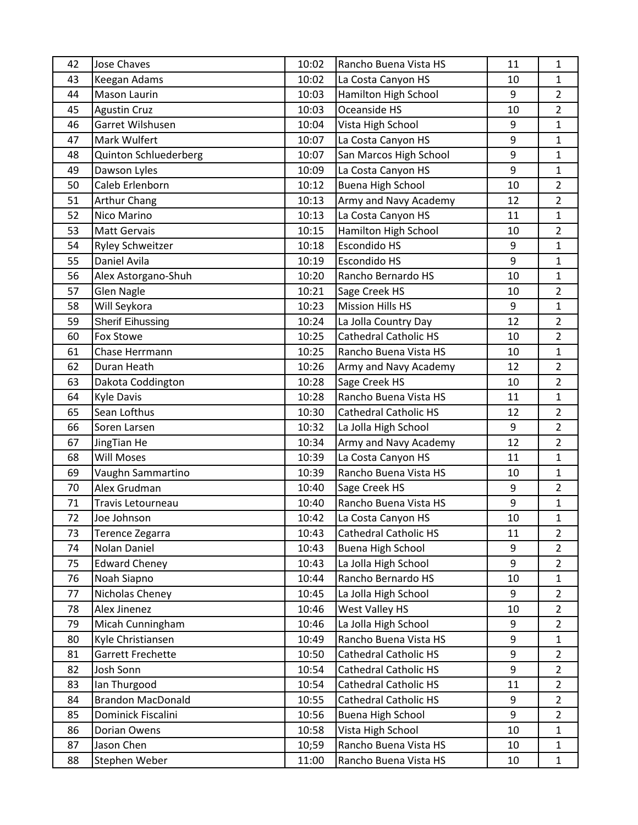| 42 | <b>Jose Chaves</b>           | 10:02 | Rancho Buena Vista HS        | 11               | $\mathbf{1}$   |
|----|------------------------------|-------|------------------------------|------------------|----------------|
| 43 | Keegan Adams                 | 10:02 | La Costa Canyon HS           | 10               | $\mathbf{1}$   |
| 44 | Mason Laurin                 | 10:03 | Hamilton High School         | 9                | $\overline{2}$ |
| 45 | <b>Agustin Cruz</b>          | 10:03 | Oceanside HS                 | 10               | $\overline{2}$ |
| 46 | Garret Wilshusen             | 10:04 | Vista High School            | 9                | $\mathbf{1}$   |
| 47 | Mark Wulfert                 | 10:07 | La Costa Canyon HS           | 9                | $\mathbf{1}$   |
| 48 | <b>Quinton Schluederberg</b> | 10:07 | San Marcos High School       | 9                | $\mathbf{1}$   |
| 49 | Dawson Lyles                 | 10:09 | La Costa Canyon HS           | 9                | $\mathbf{1}$   |
| 50 | Caleb Erlenborn              | 10:12 | <b>Buena High School</b>     | 10               | $\overline{2}$ |
| 51 | <b>Arthur Chang</b>          | 10:13 | Army and Navy Academy        | 12               | $\overline{2}$ |
| 52 | Nico Marino                  | 10:13 | La Costa Canyon HS           | 11               | $\mathbf{1}$   |
| 53 | <b>Matt Gervais</b>          | 10:15 | Hamilton High School         | 10               | $\overline{2}$ |
| 54 | <b>Ryley Schweitzer</b>      | 10:18 | Escondido HS                 | 9                | $\mathbf{1}$   |
| 55 | Daniel Avila                 | 10:19 | <b>Escondido HS</b>          | 9                | $\mathbf{1}$   |
| 56 | Alex Astorgano-Shuh          | 10:20 | Rancho Bernardo HS           | 10               | $\mathbf{1}$   |
| 57 | <b>Glen Nagle</b>            | 10:21 | Sage Creek HS                | 10               | $\overline{2}$ |
| 58 | Will Seykora                 | 10:23 | <b>Mission Hills HS</b>      | $\boldsymbol{9}$ | $\mathbf{1}$   |
| 59 | <b>Sherif Eihussing</b>      | 10:24 | La Jolla Country Day         | 12               | $\overline{2}$ |
| 60 | <b>Fox Stowe</b>             | 10:25 | <b>Cathedral Catholic HS</b> | 10               | $\overline{2}$ |
| 61 | Chase Herrmann               | 10:25 | Rancho Buena Vista HS        | 10               | $\mathbf{1}$   |
| 62 | Duran Heath                  | 10:26 | Army and Navy Academy        | 12               | $\overline{2}$ |
| 63 | Dakota Coddington            | 10:28 | Sage Creek HS                | 10               | $\overline{2}$ |
| 64 | <b>Kyle Davis</b>            | 10:28 | Rancho Buena Vista HS        | 11               | $\mathbf{1}$   |
| 65 | Sean Lofthus                 | 10:30 | <b>Cathedral Catholic HS</b> | 12               | $\overline{2}$ |
| 66 | Soren Larsen                 | 10:32 | La Jolla High School         | 9                | $\overline{2}$ |
| 67 | JingTian He                  | 10:34 | Army and Navy Academy        | 12               | $\overline{2}$ |
| 68 | <b>Will Moses</b>            | 10:39 | La Costa Canyon HS           | 11               | $\mathbf{1}$   |
| 69 | Vaughn Sammartino            | 10:39 | Rancho Buena Vista HS        | 10               | $\mathbf{1}$   |
| 70 | Alex Grudman                 | 10:40 | Sage Creek HS                | $\boldsymbol{9}$ | $\overline{2}$ |
| 71 | Travis Letourneau            | 10:40 | Rancho Buena Vista HS        | $\boldsymbol{9}$ | $\mathbf 1$    |
| 72 | Joe Johnson                  | 10:42 | La Costa Canyon HS           | 10               | $\mathbf{1}$   |
| 73 | Terence Zegarra              | 10:43 | <b>Cathedral Catholic HS</b> | 11               | $\overline{2}$ |
| 74 | Nolan Daniel                 | 10:43 | <b>Buena High School</b>     | 9                | $\overline{2}$ |
| 75 | <b>Edward Cheney</b>         | 10:43 | La Jolla High School         | 9                | $\overline{2}$ |
| 76 | Noah Siapno                  | 10:44 | Rancho Bernardo HS           | 10               | $\mathbf{1}$   |
| 77 | Nicholas Cheney              | 10:45 | La Jolla High School         | 9                | $\overline{2}$ |
| 78 | Alex Jinenez                 | 10:46 | West Valley HS               | 10               | $\overline{2}$ |
| 79 | Micah Cunningham             | 10:46 | La Jolla High School         | 9                | $\overline{2}$ |
| 80 | Kyle Christiansen            | 10:49 | Rancho Buena Vista HS        | 9                | 1              |
| 81 | Garrett Frechette            | 10:50 | <b>Cathedral Catholic HS</b> | 9                | $\overline{2}$ |
| 82 | Josh Sonn                    | 10:54 | <b>Cathedral Catholic HS</b> | 9                | $\overline{2}$ |
| 83 | Ian Thurgood                 | 10:54 | <b>Cathedral Catholic HS</b> | 11               | $\overline{2}$ |
| 84 | <b>Brandon MacDonald</b>     | 10:55 | <b>Cathedral Catholic HS</b> | 9                | $\overline{2}$ |
| 85 | Dominick Fiscalini           | 10:56 | <b>Buena High School</b>     | $\boldsymbol{9}$ | $\overline{2}$ |
| 86 | Dorian Owens                 | 10:58 | Vista High School            | 10               | $\mathbf{1}$   |
| 87 | Jason Chen                   | 10;59 | Rancho Buena Vista HS        | 10               | $\mathbf{1}$   |
| 88 | Stephen Weber                | 11:00 | Rancho Buena Vista HS        | 10               | $\mathbf{1}$   |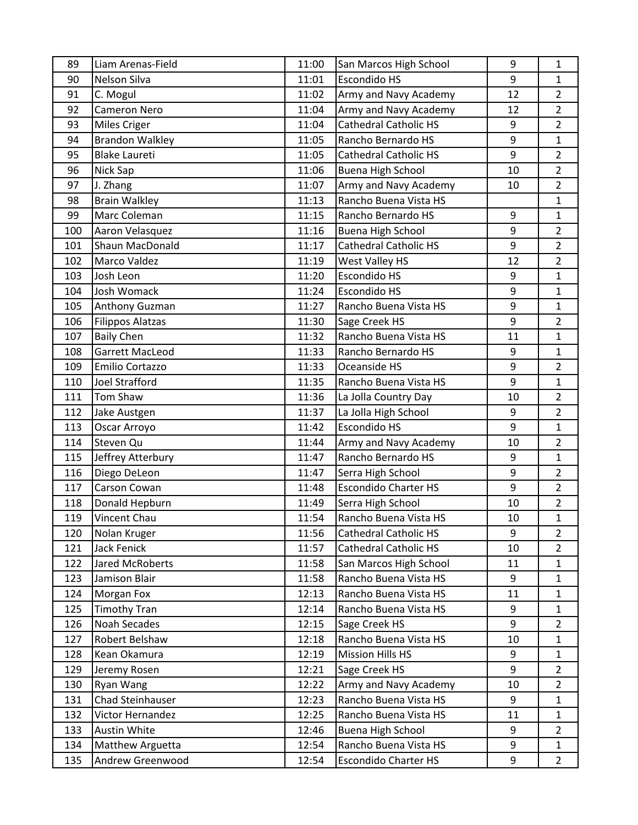| 89  | Liam Arenas-Field       | 11:00 | San Marcos High School       | 9                | $\mathbf{1}$   |
|-----|-------------------------|-------|------------------------------|------------------|----------------|
| 90  | <b>Nelson Silva</b>     | 11:01 | Escondido HS                 | 9                | $\mathbf{1}$   |
| 91  | C. Mogul                | 11:02 | Army and Navy Academy        | 12               | $\overline{2}$ |
| 92  | <b>Cameron Nero</b>     | 11:04 | Army and Navy Academy        | 12               | $\overline{2}$ |
| 93  | <b>Miles Criger</b>     | 11:04 | <b>Cathedral Catholic HS</b> | 9                | $\overline{2}$ |
| 94  | <b>Brandon Walkley</b>  | 11:05 | Rancho Bernardo HS           | 9                | $\mathbf{1}$   |
| 95  | <b>Blake Laureti</b>    | 11:05 | <b>Cathedral Catholic HS</b> | 9                | $\overline{2}$ |
| 96  | Nick Sap                | 11:06 | <b>Buena High School</b>     | 10               | $\overline{2}$ |
| 97  | J. Zhang                | 11:07 | Army and Navy Academy        | 10               | $\overline{2}$ |
| 98  | <b>Brain Walkley</b>    | 11:13 | Rancho Buena Vista HS        |                  | $\mathbf{1}$   |
| 99  | Marc Coleman            | 11:15 | Rancho Bernardo HS           | 9                | $\mathbf{1}$   |
| 100 | Aaron Velasquez         | 11:16 | <b>Buena High School</b>     | 9                | $\overline{2}$ |
| 101 | Shaun MacDonald         | 11:17 | <b>Cathedral Catholic HS</b> | 9                | $\overline{2}$ |
| 102 | Marco Valdez            | 11:19 | West Valley HS               | 12               | $\overline{2}$ |
| 103 | Josh Leon               | 11:20 | <b>Escondido HS</b>          | 9                | $\mathbf{1}$   |
| 104 | Josh Womack             | 11:24 | Escondido HS                 | 9                | $\mathbf{1}$   |
| 105 | Anthony Guzman          | 11:27 | Rancho Buena Vista HS        | 9                | $\mathbf{1}$   |
| 106 | <b>Filippos Alatzas</b> | 11:30 | Sage Creek HS                | 9                | $\overline{2}$ |
| 107 | <b>Baily Chen</b>       | 11:32 | Rancho Buena Vista HS        | 11               | $\mathbf{1}$   |
| 108 | Garrett MacLeod         | 11:33 | Rancho Bernardo HS           | 9                | $\mathbf{1}$   |
| 109 | Emilio Cortazzo         | 11:33 | Oceanside HS                 | 9                | $\overline{2}$ |
| 110 | <b>Joel Strafford</b>   | 11:35 | Rancho Buena Vista HS        | 9                | $\mathbf{1}$   |
| 111 | Tom Shaw                | 11:36 | La Jolla Country Day         | 10               | $\overline{2}$ |
| 112 | Jake Austgen            | 11:37 | La Jolla High School         | 9                | $\overline{2}$ |
| 113 | Oscar Arroyo            | 11:42 | <b>Escondido HS</b>          | 9                | $\mathbf{1}$   |
| 114 | Steven Qu               | 11:44 | Army and Navy Academy        | 10               | $\overline{2}$ |
| 115 | Jeffrey Atterbury       | 11:47 | Rancho Bernardo HS           | $\boldsymbol{9}$ | $\mathbf{1}$   |
| 116 | Diego DeLeon            | 11:47 | Serra High School            | 9                | $\overline{2}$ |
| 117 | Carson Cowan            | 11:48 | <b>Escondido Charter HS</b>  | 9                | $\overline{2}$ |
| 118 | Donald Hepburn          | 11:49 | Serra High School            | 10               | $\overline{2}$ |
| 119 | Vincent Chau            | 11:54 | Rancho Buena Vista HS        | 10               | $\mathbf{1}$   |
| 120 | Nolan Kruger            | 11:56 | <b>Cathedral Catholic HS</b> | 9                | $\overline{2}$ |
| 121 | <b>Jack Fenick</b>      | 11:57 | <b>Cathedral Catholic HS</b> | 10               | $\overline{2}$ |
| 122 | Jared McRoberts         | 11:58 | San Marcos High School       | 11               | $\mathbf{1}$   |
| 123 | Jamison Blair           | 11:58 | Rancho Buena Vista HS        | 9                | $\mathbf{1}$   |
| 124 | Morgan Fox              | 12:13 | Rancho Buena Vista HS        | 11               | $\mathbf{1}$   |
| 125 | <b>Timothy Tran</b>     | 12:14 | Rancho Buena Vista HS        | 9                | $\mathbf{1}$   |
| 126 | Noah Secades            | 12:15 | Sage Creek HS                | 9                | $\overline{2}$ |
| 127 | Robert Belshaw          | 12:18 | Rancho Buena Vista HS        | 10               | $\mathbf{1}$   |
| 128 | Kean Okamura            | 12:19 | <b>Mission Hills HS</b>      | 9                | $\mathbf{1}$   |
| 129 | Jeremy Rosen            | 12:21 | Sage Creek HS                | 9                | $\overline{2}$ |
| 130 | Ryan Wang               | 12:22 | Army and Navy Academy        | 10               | $\overline{2}$ |
| 131 | Chad Steinhauser        | 12:23 | Rancho Buena Vista HS        | 9                | $\mathbf{1}$   |
| 132 | Victor Hernandez        | 12:25 | Rancho Buena Vista HS        | 11               | $\mathbf{1}$   |
| 133 | Austin White            | 12:46 | <b>Buena High School</b>     | 9                | $\overline{2}$ |
| 134 | Matthew Arguetta        | 12:54 | Rancho Buena Vista HS        | 9                | $\mathbf{1}$   |
| 135 | Andrew Greenwood        | 12:54 | <b>Escondido Charter HS</b>  | 9                | $\overline{2}$ |